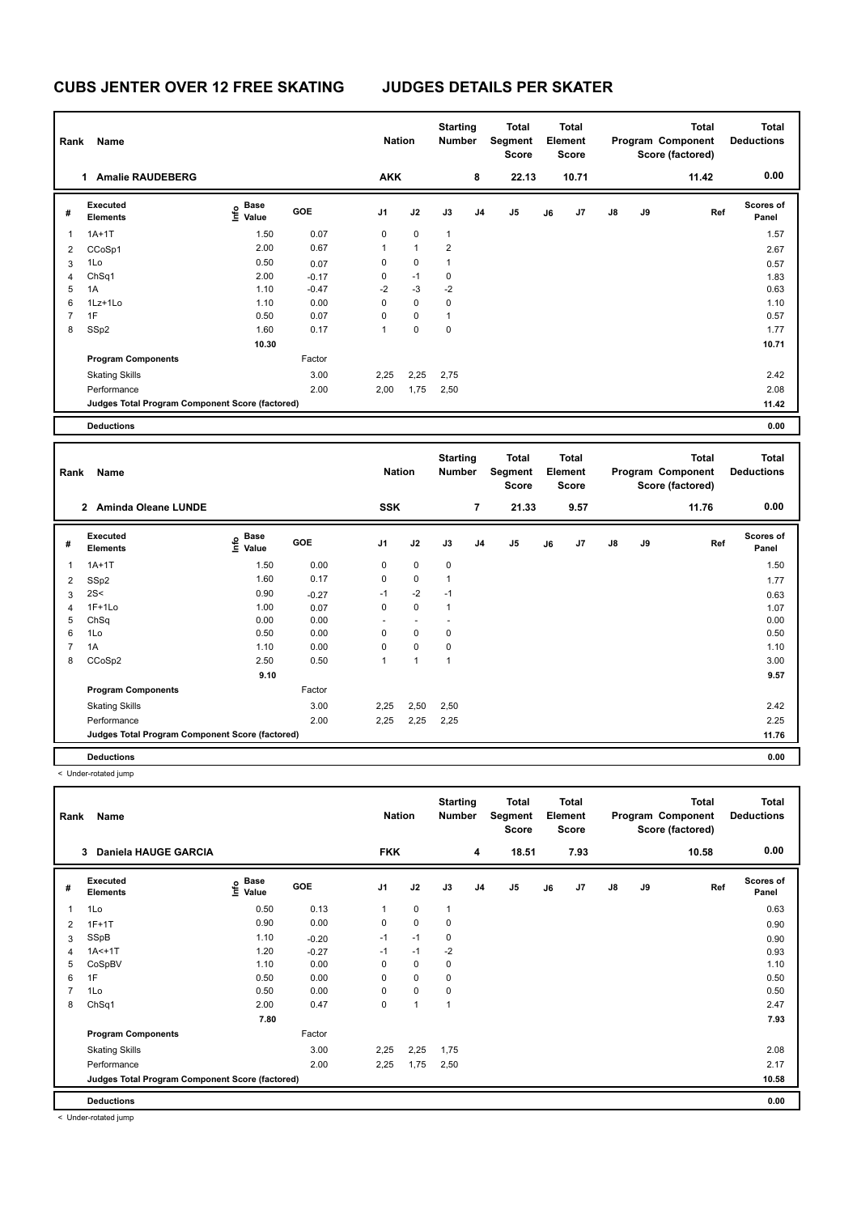# **CUBS JENTER OVER 12 FREE SKATING JUDGES DETAILS PER SKATER**

| Rank           | Name                                            |                                  |         | <b>Nation</b> |              | <b>Starting</b><br><b>Number</b> |                | Total<br>Segment<br><b>Score</b> |    | <b>Total</b><br>Element<br><b>Score</b> |               |    | <b>Total</b><br>Program Component<br>Score (factored) | Total<br><b>Deductions</b> |
|----------------|-------------------------------------------------|----------------------------------|---------|---------------|--------------|----------------------------------|----------------|----------------------------------|----|-----------------------------------------|---------------|----|-------------------------------------------------------|----------------------------|
|                | <b>Amalie RAUDEBERG</b><br>1                    |                                  |         | <b>AKK</b>    |              |                                  | 8              | 22.13                            |    | 10.71                                   |               |    | 11.42                                                 | 0.00                       |
| #              | Executed<br><b>Elements</b>                     | <b>Base</b><br>e Base<br>⊆ Value | GOE     | J1            | J2           | J3                               | J <sub>4</sub> | J5                               | J6 | J7                                      | $\mathsf{J}8$ | J9 | Ref                                                   | Scores of<br>Panel         |
| $\overline{1}$ | $1A+1T$                                         | 1.50                             | 0.07    | 0             | $\mathbf 0$  | $\mathbf{1}$                     |                |                                  |    |                                         |               |    |                                                       | 1.57                       |
| 2              | CCoSp1                                          | 2.00                             | 0.67    | 1             | $\mathbf{1}$ | $\overline{2}$                   |                |                                  |    |                                         |               |    |                                                       | 2.67                       |
| 3              | 1Lo                                             | 0.50                             | 0.07    | 0             | 0            | 1                                |                |                                  |    |                                         |               |    |                                                       | 0.57                       |
| $\overline{4}$ | Ch <sub>Sq1</sub>                               | 2.00                             | $-0.17$ | 0             | $-1$         | 0                                |                |                                  |    |                                         |               |    |                                                       | 1.83                       |
| 5              | 1A                                              | 1.10                             | $-0.47$ | $-2$          | $-3$         | $-2$                             |                |                                  |    |                                         |               |    |                                                       | 0.63                       |
| 6              | 1Lz+1Lo                                         | 1.10                             | 0.00    | 0             | $\mathbf 0$  | 0                                |                |                                  |    |                                         |               |    |                                                       | 1.10                       |
| 7              | 1F                                              | 0.50                             | 0.07    | $\Omega$      | $\mathbf 0$  | $\overline{1}$                   |                |                                  |    |                                         |               |    |                                                       | 0.57                       |
| 8              | SSp2                                            | 1.60                             | 0.17    | $\mathbf{1}$  | $\mathbf 0$  | 0                                |                |                                  |    |                                         |               |    |                                                       | 1.77                       |
|                |                                                 | 10.30                            |         |               |              |                                  |                |                                  |    |                                         |               |    |                                                       | 10.71                      |
|                | <b>Program Components</b>                       |                                  | Factor  |               |              |                                  |                |                                  |    |                                         |               |    |                                                       |                            |
|                | <b>Skating Skills</b>                           |                                  | 3.00    | 2,25          | 2,25         | 2,75                             |                |                                  |    |                                         |               |    |                                                       | 2.42                       |
|                | Performance                                     |                                  | 2.00    | 2,00          | 1,75         | 2,50                             |                |                                  |    |                                         |               |    |                                                       | 2.08                       |
|                | Judges Total Program Component Score (factored) |                                  |         |               |              |                                  |                |                                  |    |                                         |               |    |                                                       | 11.42                      |
|                | <b>Deductions</b>                               |                                  |         |               |              |                                  |                |                                  |    |                                         |               |    |                                                       | 0.00                       |

| Rank | <b>Name</b>                                     |                                  |         | <b>Nation</b>  |              | <b>Starting</b><br>Number |                | Total<br>Segment<br><b>Score</b> |    | <b>Total</b><br>Element<br><b>Score</b> |               |    | <b>Total</b><br>Program Component<br>Score (factored) | <b>Total</b><br><b>Deductions</b> |
|------|-------------------------------------------------|----------------------------------|---------|----------------|--------------|---------------------------|----------------|----------------------------------|----|-----------------------------------------|---------------|----|-------------------------------------------------------|-----------------------------------|
|      | 2 Aminda Oleane LUNDE                           |                                  |         | <b>SSK</b>     |              |                           | $\overline{7}$ | 21.33                            |    | 9.57                                    |               |    | 11.76                                                 | 0.00                              |
| #    | <b>Executed</b><br><b>Elements</b>              | <b>Base</b><br>e Base<br>⊆ Value | GOE     | J <sub>1</sub> | J2           | J3                        | J <sub>4</sub> | J <sub>5</sub>                   | J6 | J7                                      | $\mathsf{J}8$ | J9 | Ref                                                   | <b>Scores of</b><br>Panel         |
| 1    | $1A+1T$                                         | 1.50                             | 0.00    | 0              | $\mathbf 0$  | $\mathbf 0$               |                |                                  |    |                                         |               |    |                                                       | 1.50                              |
| 2    | SSp2                                            | 1.60                             | 0.17    | 0              | $\mathbf 0$  | 1                         |                |                                  |    |                                         |               |    |                                                       | 1.77                              |
| 3    | 2S<                                             | 0.90                             | $-0.27$ | $-1$           | $-2$         | $-1$                      |                |                                  |    |                                         |               |    |                                                       | 0.63                              |
| 4    | $1F+1Lo$                                        | 1.00                             | 0.07    | 0              | $\mathbf 0$  | 1                         |                |                                  |    |                                         |               |    |                                                       | 1.07                              |
| 5    | ChSq                                            | 0.00                             | 0.00    |                | ٠            |                           |                |                                  |    |                                         |               |    |                                                       | 0.00                              |
| 6    | 1Lo                                             | 0.50                             | 0.00    | 0              | 0            | 0                         |                |                                  |    |                                         |               |    |                                                       | 0.50                              |
|      | 1A                                              | 1.10                             | 0.00    | 0              | $\mathbf 0$  | 0                         |                |                                  |    |                                         |               |    |                                                       | 1.10                              |
| 8    | CCoSp2                                          | 2.50                             | 0.50    | 1              | $\mathbf{1}$ | 1                         |                |                                  |    |                                         |               |    |                                                       | 3.00                              |
|      |                                                 | 9.10                             |         |                |              |                           |                |                                  |    |                                         |               |    |                                                       | 9.57                              |
|      | <b>Program Components</b>                       |                                  | Factor  |                |              |                           |                |                                  |    |                                         |               |    |                                                       |                                   |
|      | <b>Skating Skills</b>                           |                                  | 3.00    | 2,25           | 2,50         | 2,50                      |                |                                  |    |                                         |               |    |                                                       | 2.42                              |
|      | Performance                                     |                                  | 2.00    | 2,25           | 2,25         | 2,25                      |                |                                  |    |                                         |               |    |                                                       | 2.25                              |
|      | Judges Total Program Component Score (factored) |                                  |         |                |              |                           |                |                                  |    |                                         |               |    |                                                       | 11.76                             |
|      | <b>Deductions</b>                               |                                  |         |                |              |                           |                |                                  |    |                                         |               |    |                                                       | 0.00                              |

< Under-rotated jump

| Rank | Name                                            |                                  |         | <b>Nation</b>  |                | <b>Starting</b><br><b>Number</b> |                | Total<br>Segment<br>Score |    | <b>Total</b><br>Element<br><b>Score</b> |               |    | <b>Total</b><br>Program Component<br>Score (factored) | <b>Total</b><br><b>Deductions</b> |
|------|-------------------------------------------------|----------------------------------|---------|----------------|----------------|----------------------------------|----------------|---------------------------|----|-----------------------------------------|---------------|----|-------------------------------------------------------|-----------------------------------|
|      | Daniela HAUGE GARCIA<br>3                       |                                  |         | <b>FKK</b>     |                |                                  | 4              | 18.51                     |    | 7.93                                    |               |    | 10.58                                                 | 0.00                              |
| #    | Executed<br><b>Elements</b>                     | <b>Base</b><br>o Base<br>⊆ Value | GOE     | J <sub>1</sub> | J2             | J3                               | J <sub>4</sub> | J <sub>5</sub>            | J6 | J7                                      | $\mathsf{J}8$ | J9 | Ref                                                   | <b>Scores of</b><br>Panel         |
| 1    | 1Lo                                             | 0.50                             | 0.13    | $\mathbf{1}$   | 0              | $\mathbf{1}$                     |                |                           |    |                                         |               |    |                                                       | 0.63                              |
| 2    | $1F+1T$                                         | 0.90                             | 0.00    | 0              | $\mathbf 0$    | 0                                |                |                           |    |                                         |               |    |                                                       | 0.90                              |
| 3    | SSpB                                            | 1.10                             | $-0.20$ | $-1$           | $-1$           | 0                                |                |                           |    |                                         |               |    |                                                       | 0.90                              |
| 4    | $1A<+1T$                                        | 1.20                             | $-0.27$ | $-1$           | $-1$           | $-2$                             |                |                           |    |                                         |               |    |                                                       | 0.93                              |
| 5    | CoSpBV                                          | 1.10                             | 0.00    | 0              | $\mathbf 0$    | 0                                |                |                           |    |                                         |               |    |                                                       | 1.10                              |
| 6    | 1F                                              | 0.50                             | 0.00    | 0              | 0              | 0                                |                |                           |    |                                         |               |    |                                                       | 0.50                              |
| 7    | 1Lo                                             | 0.50                             | 0.00    | 0              | $\mathbf 0$    | 0                                |                |                           |    |                                         |               |    |                                                       | 0.50                              |
| 8    | ChSq1                                           | 2.00                             | 0.47    | 0              | $\overline{1}$ | $\overline{1}$                   |                |                           |    |                                         |               |    |                                                       | 2.47                              |
|      |                                                 | 7.80                             |         |                |                |                                  |                |                           |    |                                         |               |    |                                                       | 7.93                              |
|      | <b>Program Components</b>                       |                                  | Factor  |                |                |                                  |                |                           |    |                                         |               |    |                                                       |                                   |
|      | <b>Skating Skills</b>                           |                                  | 3.00    | 2,25           | 2,25           | 1,75                             |                |                           |    |                                         |               |    |                                                       | 2.08                              |
|      | Performance                                     |                                  | 2.00    | 2,25           | 1,75           | 2,50                             |                |                           |    |                                         |               |    |                                                       | 2.17                              |
|      | Judges Total Program Component Score (factored) |                                  |         |                |                |                                  |                |                           |    |                                         |               |    |                                                       | 10.58                             |
|      | <b>Deductions</b>                               |                                  |         |                |                |                                  |                |                           |    |                                         |               |    |                                                       | 0.00                              |

< Under-rotated jump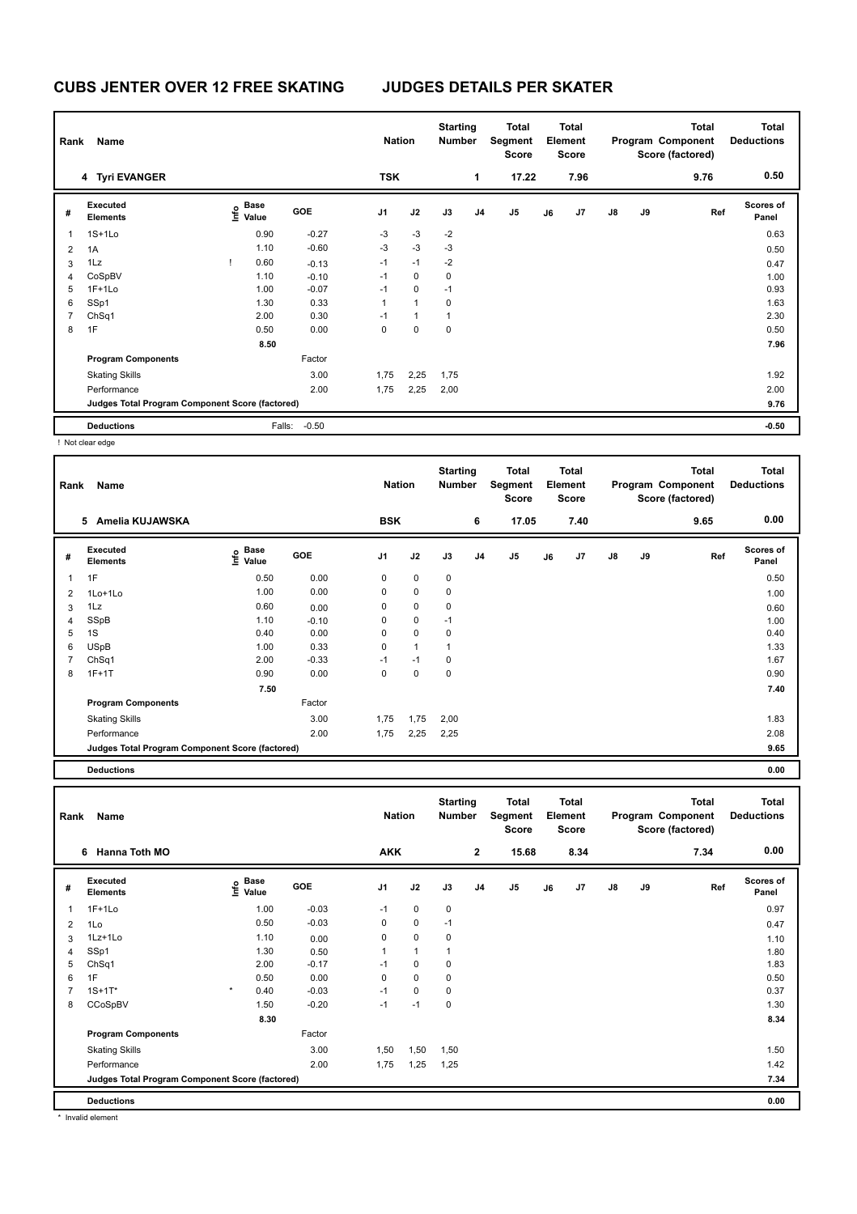# **CUBS JENTER OVER 12 FREE SKATING JUDGES DETAILS PER SKATER**

| <b>Name</b><br>Rank |                                                 |  |                                  |            |                | <b>Starting</b><br>Total<br><b>Nation</b><br><b>Number</b><br>Segment<br><b>Score</b> |                |                |                | <b>Total</b><br><b>Total</b><br>Element<br>Program Component<br><b>Score</b><br>Score (factored) |                |               |    | <b>Total</b><br><b>Deductions</b> |                           |
|---------------------|-------------------------------------------------|--|----------------------------------|------------|----------------|---------------------------------------------------------------------------------------|----------------|----------------|----------------|--------------------------------------------------------------------------------------------------|----------------|---------------|----|-----------------------------------|---------------------------|
|                     | 4 Tyri EVANGER                                  |  |                                  |            | <b>TSK</b>     |                                                                                       |                | 1              | 17.22          |                                                                                                  | 7.96           |               |    | 9.76                              | 0.50                      |
| #                   | Executed<br><b>Elements</b>                     |  | <b>Base</b><br>o Base<br>⊆ Value | <b>GOE</b> | J <sub>1</sub> | J2                                                                                    | J3             | J <sub>4</sub> | J <sub>5</sub> | J6                                                                                               | J <sub>7</sub> | $\mathsf{J}8$ | J9 | Ref                               | <b>Scores of</b><br>Panel |
|                     | $1S+1Lo$                                        |  | 0.90                             | $-0.27$    | $-3$           | $-3$                                                                                  | $-2$           |                |                |                                                                                                  |                |               |    |                                   | 0.63                      |
| $\overline{2}$      | 1A                                              |  | 1.10                             | $-0.60$    | $-3$           | $-3$                                                                                  | $-3$           |                |                |                                                                                                  |                |               |    |                                   | 0.50                      |
| 3                   | 1Lz                                             |  | 0.60                             | $-0.13$    | $-1$           | $-1$                                                                                  | $-2$           |                |                |                                                                                                  |                |               |    |                                   | 0.47                      |
| 4                   | CoSpBV                                          |  | 1.10                             | $-0.10$    | $-1$           | $\mathbf 0$                                                                           | $\pmb{0}$      |                |                |                                                                                                  |                |               |    |                                   | 1.00                      |
| 5                   | $1F+1Lo$                                        |  | 1.00                             | $-0.07$    | $-1$           | $\mathbf 0$                                                                           | $-1$           |                |                |                                                                                                  |                |               |    |                                   | 0.93                      |
| 6                   | SSp1                                            |  | 1.30                             | 0.33       | $\mathbf{1}$   | $\mathbf{1}$                                                                          | 0              |                |                |                                                                                                  |                |               |    |                                   | 1.63                      |
| $\overline{7}$      | ChSq1                                           |  | 2.00                             | 0.30       | $-1$           | $\mathbf{1}$                                                                          | $\overline{1}$ |                |                |                                                                                                  |                |               |    |                                   | 2.30                      |
| 8                   | 1F                                              |  | 0.50                             | 0.00       | 0              | $\mathbf 0$                                                                           | 0              |                |                |                                                                                                  |                |               |    |                                   | 0.50                      |
|                     |                                                 |  | 8.50                             |            |                |                                                                                       |                |                |                |                                                                                                  |                |               |    |                                   | 7.96                      |
|                     | <b>Program Components</b>                       |  |                                  | Factor     |                |                                                                                       |                |                |                |                                                                                                  |                |               |    |                                   |                           |
|                     | <b>Skating Skills</b>                           |  |                                  | 3.00       | 1,75           | 2,25                                                                                  | 1,75           |                |                |                                                                                                  |                |               |    |                                   | 1.92                      |
|                     | Performance                                     |  |                                  | 2.00       | 1,75           | 2,25                                                                                  | 2,00           |                |                |                                                                                                  |                |               |    |                                   | 2.00                      |
|                     | Judges Total Program Component Score (factored) |  |                                  |            |                |                                                                                       |                |                |                |                                                                                                  |                |               |    |                                   | 9.76                      |
|                     | <b>Deductions</b>                               |  | Falls:                           | $-0.50$    |                |                                                                                       |                |                |                |                                                                                                  |                |               |    |                                   | $-0.50$                   |

! Not clear edge

| Rank           | Name                                            |                           |         | <b>Nation</b> |              | <b>Starting</b><br>Number |                | <b>Total</b><br>Segment<br><b>Score</b> |    | <b>Total</b><br>Element<br><b>Score</b> |               |    | <b>Total</b><br>Program Component<br>Score (factored) | <b>Total</b><br><b>Deductions</b> |
|----------------|-------------------------------------------------|---------------------------|---------|---------------|--------------|---------------------------|----------------|-----------------------------------------|----|-----------------------------------------|---------------|----|-------------------------------------------------------|-----------------------------------|
|                | Amelia KUJAWSKA<br>5                            |                           |         | <b>BSK</b>    |              |                           | 6              | 17.05                                   |    | 7.40                                    |               |    | 9.65                                                  | 0.00                              |
| #              | Executed<br><b>Elements</b>                     | Base<br>e Base<br>E Value | GOE     | J1            | J2           | J3                        | J <sub>4</sub> | J5                                      | J6 | J <sub>7</sub>                          | $\mathsf{J}8$ | J9 | Ref                                                   | <b>Scores of</b><br>Panel         |
|                | 1F                                              | 0.50                      | 0.00    | 0             | $\mathbf 0$  | 0                         |                |                                         |    |                                         |               |    |                                                       | 0.50                              |
| $\overline{2}$ | 1Lo+1Lo                                         | 1.00                      | 0.00    | 0             | $\mathbf 0$  | 0                         |                |                                         |    |                                         |               |    |                                                       | 1.00                              |
| 3              | 1Lz                                             | 0.60                      | 0.00    | 0             | $\pmb{0}$    | 0                         |                |                                         |    |                                         |               |    |                                                       | 0.60                              |
| $\overline{4}$ | SSpB                                            | 1.10                      | $-0.10$ | 0             | $\mathbf 0$  | $-1$                      |                |                                         |    |                                         |               |    |                                                       | 1.00                              |
| 5              | 1S                                              | 0.40                      | 0.00    | 0             | $\mathbf 0$  | $\mathbf 0$               |                |                                         |    |                                         |               |    |                                                       | 0.40                              |
| 6              | <b>USpB</b>                                     | 1.00                      | 0.33    | 0             | $\mathbf{1}$ | 1                         |                |                                         |    |                                         |               |    |                                                       | 1.33                              |
| 7              | Ch <sub>Sq1</sub>                               | 2.00                      | $-0.33$ | $-1$          | $-1$         | 0                         |                |                                         |    |                                         |               |    |                                                       | 1.67                              |
| 8              | $1F+1T$                                         | 0.90                      | 0.00    | 0             | $\mathbf 0$  | 0                         |                |                                         |    |                                         |               |    |                                                       | 0.90                              |
|                |                                                 | 7.50                      |         |               |              |                           |                |                                         |    |                                         |               |    |                                                       | 7.40                              |
|                | <b>Program Components</b>                       |                           | Factor  |               |              |                           |                |                                         |    |                                         |               |    |                                                       |                                   |
|                | <b>Skating Skills</b>                           |                           | 3.00    | 1,75          | 1,75         | 2,00                      |                |                                         |    |                                         |               |    |                                                       | 1.83                              |
|                | Performance                                     |                           | 2.00    | 1,75          | 2,25         | 2,25                      |                |                                         |    |                                         |               |    |                                                       | 2.08                              |
|                | Judges Total Program Component Score (factored) |                           |         |               |              |                           |                |                                         |    |                                         |               |    |                                                       | 9.65                              |

**Deductions 0.00**

| Rank           | Name                                            |         |                           |            | <b>Nation</b> |              | <b>Starting</b><br><b>Number</b> |                | <b>Total</b><br>Segment<br>Score |    | <b>Total</b><br>Element<br><b>Score</b> |               |    | <b>Total</b><br>Program Component<br>Score (factored) | <b>Total</b><br><b>Deductions</b> |
|----------------|-------------------------------------------------|---------|---------------------------|------------|---------------|--------------|----------------------------------|----------------|----------------------------------|----|-----------------------------------------|---------------|----|-------------------------------------------------------|-----------------------------------|
|                | Hanna Toth MO<br>6                              |         |                           |            | <b>AKK</b>    |              |                                  | $\mathbf{2}$   | 15.68                            |    | 8.34                                    |               |    | 7.34                                                  | 0.00                              |
| #              | Executed<br><b>Elements</b>                     |         | Base<br>e Base<br>⊆ Value | <b>GOE</b> | J1            | J2           | J3                               | J <sub>4</sub> | J <sub>5</sub>                   | J6 | J <sub>7</sub>                          | $\mathsf{J}8$ | J9 | Ref                                                   | <b>Scores of</b><br>Panel         |
| $\overline{1}$ | $1F+1Lo$                                        |         | 1.00                      | $-0.03$    | $-1$          | $\mathbf 0$  | 0                                |                |                                  |    |                                         |               |    |                                                       | 0.97                              |
| $\overline{2}$ | 1Lo                                             |         | 0.50                      | $-0.03$    | 0             | $\mathbf 0$  | $-1$                             |                |                                  |    |                                         |               |    |                                                       | 0.47                              |
| 3              | 1Lz+1Lo                                         |         | 1.10                      | 0.00       | 0             | $\mathbf 0$  | 0                                |                |                                  |    |                                         |               |    |                                                       | 1.10                              |
| $\overline{4}$ | SSp1                                            |         | 1.30                      | 0.50       | $\mathbf{1}$  | $\mathbf{1}$ | $\mathbf{1}$                     |                |                                  |    |                                         |               |    |                                                       | 1.80                              |
| 5              | ChSq1                                           |         | 2.00                      | $-0.17$    | $-1$          | $\mathbf 0$  | 0                                |                |                                  |    |                                         |               |    |                                                       | 1.83                              |
| 6              | 1F                                              |         | 0.50                      | 0.00       | 0             | $\mathbf 0$  | 0                                |                |                                  |    |                                         |               |    |                                                       | 0.50                              |
| 7              | $1S + 1T^*$                                     | $\star$ | 0.40                      | $-0.03$    | $-1$          | $\mathbf 0$  | 0                                |                |                                  |    |                                         |               |    |                                                       | 0.37                              |
| 8              | CCoSpBV                                         |         | 1.50                      | $-0.20$    | $-1$          | $-1$         | 0                                |                |                                  |    |                                         |               |    |                                                       | 1.30                              |
|                |                                                 |         | 8.30                      |            |               |              |                                  |                |                                  |    |                                         |               |    |                                                       | 8.34                              |
|                | <b>Program Components</b>                       |         |                           | Factor     |               |              |                                  |                |                                  |    |                                         |               |    |                                                       |                                   |
|                | <b>Skating Skills</b>                           |         |                           | 3.00       | 1,50          | 1,50         | 1,50                             |                |                                  |    |                                         |               |    |                                                       | 1.50                              |
|                | Performance                                     |         |                           | 2.00       | 1,75          | 1,25         | 1,25                             |                |                                  |    |                                         |               |    |                                                       | 1.42                              |
|                | Judges Total Program Component Score (factored) |         |                           |            |               |              |                                  |                |                                  |    |                                         |               |    |                                                       | 7.34                              |
|                | <b>Deductions</b>                               |         |                           |            |               |              |                                  |                |                                  |    |                                         |               |    |                                                       | 0.00                              |

\* Invalid element